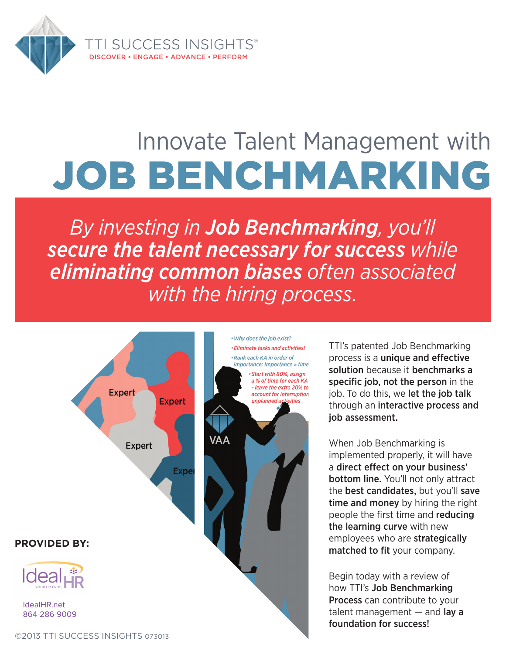

# Innovate Talent Management with Job Benchmarking

*By investing in Job Benchmarking, you'll secure the talent necessary for success while eliminating common biases often associated with the hiring process.*



TTI's patented Job Benchmarking process is a unique and effective solution because it benchmarks a specific job, not the person in the job. To do this, we let the job talk through an interactive process and job assessment.

When Job Benchmarking is implemented properly, it will have a direct effect on your business' bottom line. You'll not only attract the best candidates, but you'll save time and money by hiring the right people the first time and reducing the learning curve with new employees who are strategically matched to fit your company.

Begin today with a review of how TTI's Job Benchmarking Process can contribute to your talent management  $-$  and lay a foundation for success!